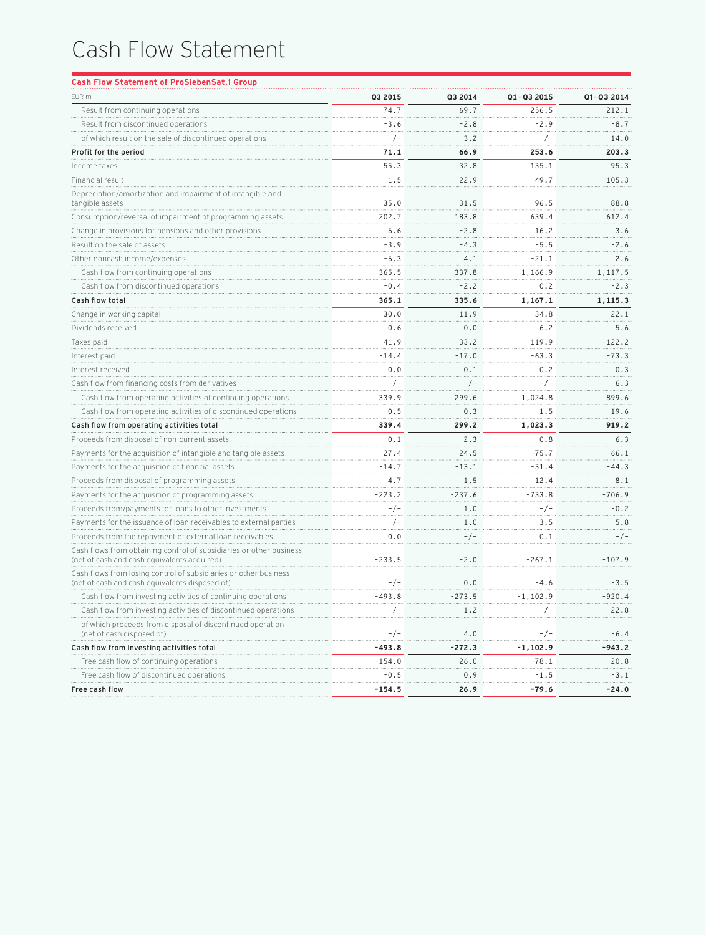## Cash Flow Statement

| EUR m                                                                                                              | Q3 2015  | Q3 2014  | Q1-Q3 2015 | Q1-Q3 2014 |
|--------------------------------------------------------------------------------------------------------------------|----------|----------|------------|------------|
| Result from continuing operations                                                                                  | 74.7     | 69.7     | 256.5      | 212.1      |
| Result from discontinued operations                                                                                | $-3.6$   | $-2.8$   | $-2.9$     | $-8.7$     |
| of which result on the sale of discontinued operations                                                             | $-/-$    | $-3.2$   | $-/-$      | $-14.0$    |
| Profit for the period                                                                                              | 71.1     | 66.9     | 253.6      | 203.3      |
| Income taxes                                                                                                       | 55.3     | 32.8     | 135.1      | 95.3       |
| Financial result                                                                                                   | 1.5      | 22.9     | 49.7       | 105.3      |
| Depreciation/amortization and impairment of intangible and<br>tangible assets                                      | 35.0     | 31.5     | 96.5       | 88.8       |
| Consumption/reversal of impairment of programming assets                                                           | 202.7    | 183.8    | 639.4      | 612.4      |
| Change in provisions for pensions and other provisions                                                             | 6.6      | $-2.8$   | 16.2       | 3.6        |
| Result on the sale of assets                                                                                       | $-3.9$   | $-4.3$   | $-5.5$     | $-2.6$     |
| Other noncash income/expenses                                                                                      | -6.3     | 4.1      | -21.1      | 2.6        |
| Cash flow from continuing operations                                                                               | 365.5    | 337.8    | 1,166.9    | 1,117.5    |
| Cash flow from discontinued operations                                                                             | -0.4     | $-2.2$   | 0.2        | $-2.3$     |
| <b>Cash flow total</b>                                                                                             | 365.1    | 335.6    | 1,167.1    | 1,115.3    |
| Change in working capital                                                                                          | 30.0     | 11.9     | 34.8       | $-22.1$    |
| Dividends received                                                                                                 | 0.6      | 0.0      | 6.2        | 5.6        |
| Taxes paid                                                                                                         | $-41.9$  | $-33.2$  | -119.9     | $-122.2$   |
| Interest paid                                                                                                      | $-14.4$  | $-17.0$  | -63.3      | $-73.3$    |
| Interest received                                                                                                  | 0.0      | 0.1      | 0.2        | 0.3        |
| Cash flow from financing costs from derivatives                                                                    | $-/-$    | $-/-$    | $-/-$      | $-6.3$     |
| Cash flow from operating activities of continuing operations                                                       | 339.9    | 299.6    | 1,024.8    | 899.6      |
| Cash flow from operating activities of discontinued operations                                                     | -0.5     | $-0.3$   | -1.5       | 19.6       |
| Cash flow from operating activities total                                                                          | 339.4    | 299.2    | 1,023.3    | 919.2      |
| Proceeds from disposal of non-current assets                                                                       | 0.1      | 2.3      | 0.8        | 6.3        |
| Payments for the acquisition of intangible and tangible assets                                                     | $-27.4$  | $-24.5$  | -75.7      | -66.1      |
| Payments for the acquisition of financial assets                                                                   | $-14.7$  | $-13.1$  | -31.4      | -44.3      |
| Proceeds from disposal of programming assets                                                                       | 4.7      | 1.5      | 12.4       | 8.1        |
| Payments for the acquisition of programming assets                                                                 | $-223.2$ | $-237.6$ | $-733.8$   | $-706.9$   |
| Proceeds from/payments for loans to other investments                                                              | -/-      | 1.0      | $-/-$      | $-0.2$     |
| Payments for the issuance of loan receivables to external parties                                                  | -/-      | -1.0     | -3.5       | $-5.8$     |
| Proceeds from the repayment of external loan receivables                                                           | 0.0      | $-/-$    | 0.1        | $-/-$      |
| Cash flows from obtaining control of subsidiaries or other business<br>(net of cash and cash equivalents acquired) | $-233.5$ | $-2.0$   | $-267.1$   | $-107.9$   |
| Cash flows from losing control of subsidiaries or other business<br>(net of cash and cash equivalents disposed of) | $-/-$    | 0.0      | $-4.6$     | $-3.5$     |
| Cash flow from investing activities of continuing operations                                                       | -493.8   | $-273.5$ | 1,102.9-   | -920.4     |
| Cash flow from investing activities of discontinued operations                                                     | -/-      | 1.2      | $-/-$      | $-22.8$    |
| of which proceeds from disposal of discontinued operation<br>(net of cash disposed of)                             | $-/-$    | 4.0      | $-/-$      | $-6.4$     |
| Cash flow from investing activities total                                                                          | -493.8   | -272.3   | -1,102.9   | -943.2     |
| Free cash flow of continuing operations                                                                            | $-154.0$ | 26.0     | $-78.1$    | $-20.8$    |
| Free cash flow of discontinued operations                                                                          | $-0.5$   | 0.9      | $-1.5$     | $-3.1$     |
| Free cash flow                                                                                                     | -154.5   | 26.9     | -79.6      | -24.0      |